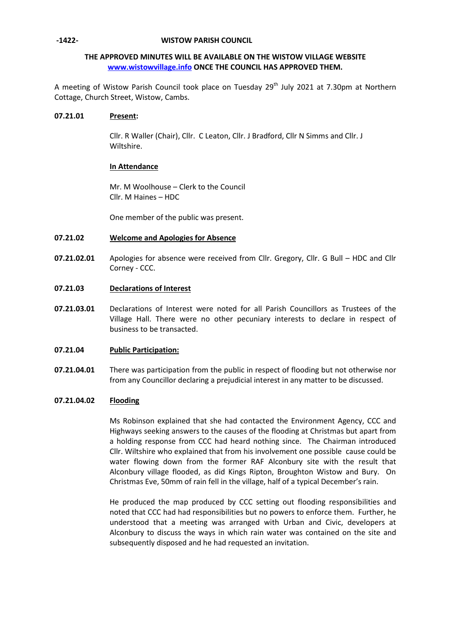### **-1422- WISTOW PARISH COUNCIL**

# **THE APPROVED MINUTES WILL BE AVAILABLE ON THE WISTOW VILLAGE WEBSITE [www.wistowvillage.info](http://www.wistowvillage.info/) ONCE THE COUNCIL HAS APPROVED THEM.**

A meeting of Wistow Parish Council took place on Tuesday 29<sup>th</sup> July 2021 at 7.30pm at Northern Cottage, Church Street, Wistow, Cambs.

### **07.21.01 Present:**

Cllr. R Waller (Chair), Cllr. C Leaton, Cllr. J Bradford, Cllr N Simms and Cllr. J Wiltshire.

# **In Attendance**

Mr. M Woolhouse – Clerk to the Council Cllr. M Haines – HDC

One member of the public was present.

#### **07.21.02 Welcome and Apologies for Absence**

**07.21.02.01** Apologies for absence were received from Cllr. Gregory, Cllr. G Bull – HDC and Cllr Corney - CCC.

#### **07.21.03 Declarations of Interest**

**07.21.03.01** Declarations of Interest were noted for all Parish Councillors as Trustees of the Village Hall. There were no other pecuniary interests to declare in respect of business to be transacted.

#### **07.21.04 Public Participation:**

**07.21.04.01** There was participation from the public in respect of flooding but not otherwise nor from any Councillor declaring a prejudicial interest in any matter to be discussed.

#### **07.21.04.02 Flooding**

Ms Robinson explained that she had contacted the Environment Agency, CCC and Highways seeking answers to the causes of the flooding at Christmas but apart from a holding response from CCC had heard nothing since. The Chairman introduced Cllr. Wiltshire who explained that from his involvement one possible cause could be water flowing down from the former RAF Alconbury site with the result that Alconbury village flooded, as did Kings Ripton, Broughton Wistow and Bury. On Christmas Eve, 50mm of rain fell in the village, half of a typical December's rain.

He produced the map produced by CCC setting out flooding responsibilities and noted that CCC had had responsibilities but no powers to enforce them. Further, he understood that a meeting was arranged with Urban and Civic, developers at Alconbury to discuss the ways in which rain water was contained on the site and subsequently disposed and he had requested an invitation.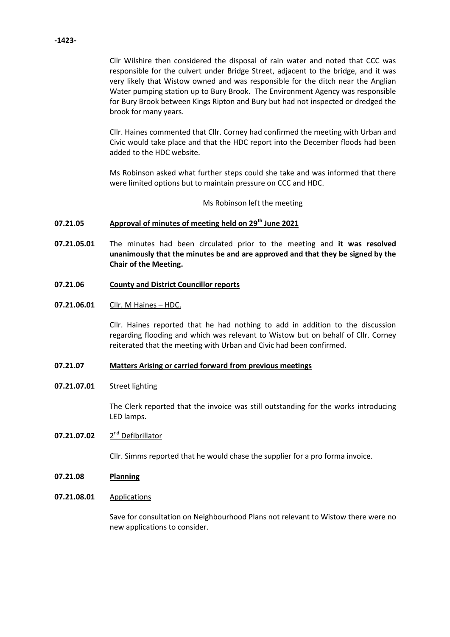Cllr Wilshire then considered the disposal of rain water and noted that CCC was responsible for the culvert under Bridge Street, adjacent to the bridge, and it was very likely that Wistow owned and was responsible for the ditch near the Anglian Water pumping station up to Bury Brook. The Environment Agency was responsible for Bury Brook between Kings Ripton and Bury but had not inspected or dredged the brook for many years.

Cllr. Haines commented that Cllr. Corney had confirmed the meeting with Urban and Civic would take place and that the HDC report into the December floods had been added to the HDC website.

Ms Robinson asked what further steps could she take and was informed that there were limited options but to maintain pressure on CCC and HDC.

Ms Robinson left the meeting

#### **07.21.05 Approval of minutes of meeting held on 29 th June 2021**

- **07.21.05.01** The minutes had been circulated prior to the meeting and **it was resolved unanimously that the minutes be and are approved and that they be signed by the Chair of the Meeting.**
- **07.21.06 County and District Councillor reports**
- **07.21.06.01** Cllr. M Haines – HDC.

Cllr. Haines reported that he had nothing to add in addition to the discussion regarding flooding and which was relevant to Wistow but on behalf of Cllr. Corney reiterated that the meeting with Urban and Civic had been confirmed.

#### **07.21.07 Matters Arising or carried forward from previous meetings**

**07.21.07.01** Street lighting

> The Clerk reported that the invoice was still outstanding for the works introducing LED lamps.

### **07.21.07.02** 2 2<sup>nd</sup> Defibrillator

Cllr. Simms reported that he would chase the supplier for a pro forma invoice.

- **07.21.08 Planning**
- **07.21.08.01** Applications

Save for consultation on Neighbourhood Plans not relevant to Wistow there were no new applications to consider.

### **-1423-**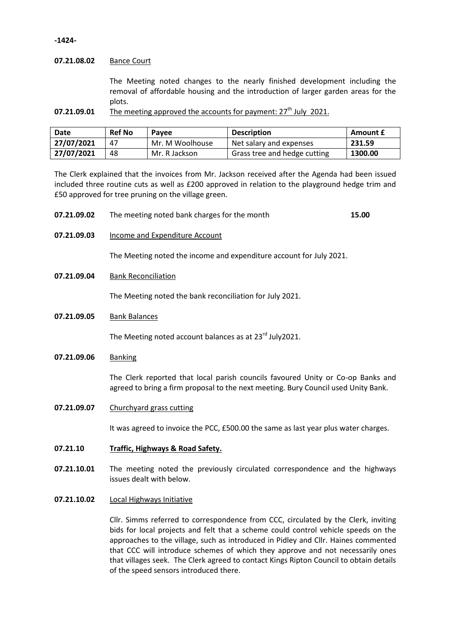### **-1424-**

## **07.21.08.02** Bance Court

The Meeting noted changes to the nearly finished development including the removal of affordable housing and the introduction of larger garden areas for the plots.

**07.21.09.01** The meeting approved the accounts for payment: 27<sup>th</sup> July 2021.

| Date       | <b>Ref No</b> | Pavee           | <b>Description</b>           | Amount £ |
|------------|---------------|-----------------|------------------------------|----------|
| 27/07/2021 | 47            | Mr. M Woolhouse | Net salary and expenses      | 231.59   |
| 27/07/2021 | 48            | Mr. R Jackson   | Grass tree and hedge cutting | 1300.00  |

The Clerk explained that the invoices from Mr. Jackson received after the Agenda had been issued included three routine cuts as well as £200 approved in relation to the playground hedge trim and £50 approved for tree pruning on the village green.

| 07.21.09.02 | The meeting noted bank charges for the month | 15.00 |
|-------------|----------------------------------------------|-------|
|-------------|----------------------------------------------|-------|

**07.21.09.03** Income and Expenditure Account

The Meeting noted the income and expenditure account for July 2021.

**07.21.09.04** Bank Reconciliation

The Meeting noted the bank reconciliation for July 2021.

**07.21.09.05** Bank Balances

The Meeting noted account balances as at 23<sup>rd</sup> July2021.

**07.21.09.06** Banking

The Clerk reported that local parish councils favoured Unity or Co-op Banks and agreed to bring a firm proposal to the next meeting. Bury Council used Unity Bank.

**07.21.09.07** Churchyard grass cutting

It was agreed to invoice the PCC, £500.00 the same as last year plus water charges.

- **07.21.10 Traffic, Highways & Road Safety.**
- **07.21.10.01** The meeting noted the previously circulated correspondence and the highways issues dealt with below.
- **07.21.10.02** Local Highways Initiative

Cllr. Simms referred to correspondence from CCC, circulated by the Clerk, inviting bids for local projects and felt that a scheme could control vehicle speeds on the approaches to the village, such as introduced in Pidley and Cllr. Haines commented that CCC will introduce schemes of which they approve and not necessarily ones that villages seek. The Clerk agreed to contact Kings Ripton Council to obtain details of the speed sensors introduced there.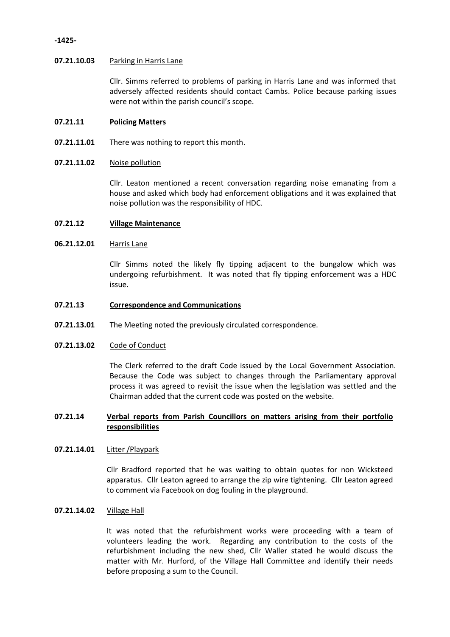### **-1425-**

## **07.21.10.03** Parking in Harris Lane

Cllr. Simms referred to problems of parking in Harris Lane and was informed that adversely affected residents should contact Cambs. Police because parking issues were not within the parish council's scope.

#### **07.21.11 Policing Matters**

**07.21.11.01** There was nothing to report this month.

#### **07.21.11.02** Noise pollution

Cllr. Leaton mentioned a recent conversation regarding noise emanating from a house and asked which body had enforcement obligations and it was explained that noise pollution was the responsibility of HDC.

#### **07.21.12 Village Maintenance**

#### **06.21.12.01** Harris Lane

Cllr Simms noted the likely fly tipping adjacent to the bungalow which was undergoing refurbishment. It was noted that fly tipping enforcement was a HDC issue.

#### **07.21.13 Correspondence and Communications**

**07.21.13.01** The Meeting noted the previously circulated correspondence.

#### **07.21.13.02** Code of Conduct

The Clerk referred to the draft Code issued by the Local Government Association. Because the Code was subject to changes through the Parliamentary approval process it was agreed to revisit the issue when the legislation was settled and the Chairman added that the current code was posted on the website.

# **07.21.14 Verbal reports from Parish Councillors on matters arising from their portfolio responsibilities**

### **07.21.14.01** Litter /Playpark

Cllr Bradford reported that he was waiting to obtain quotes for non Wicksteed apparatus. Cllr Leaton agreed to arrange the zip wire tightening. Cllr Leaton agreed to comment via Facebook on dog fouling in the playground.

# **07.21.14.02** Village Hall

It was noted that the refurbishment works were proceeding with a team of volunteers leading the work. Regarding any contribution to the costs of the refurbishment including the new shed, Cllr Waller stated he would discuss the matter with Mr. Hurford, of the Village Hall Committee and identify their needs before proposing a sum to the Council.